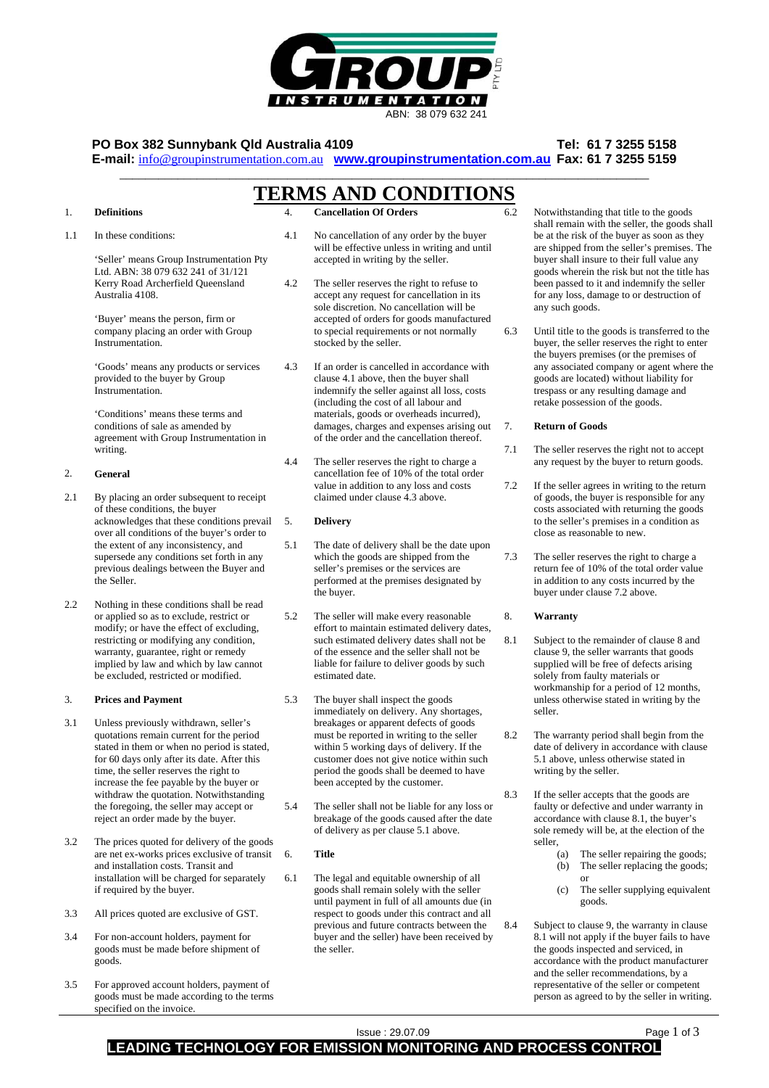

# **PO Box 382 Sunnybank Qld Australia 4109 Tel: 61 7 3255 5158**

**E-mail:** info@groupinstrumentation.com.au **www.groupinstrumentation.com.au Fax: 61 7 3255 5159** \_\_\_\_\_\_\_\_\_\_\_\_\_\_\_\_\_\_\_\_\_\_\_\_\_\_\_\_\_\_\_\_\_\_\_\_\_\_\_\_\_\_\_\_\_\_\_\_\_\_\_\_\_\_\_\_\_\_\_\_\_\_\_\_\_\_\_\_\_\_\_\_\_\_\_\_\_\_\_\_\_\_

# **TERMS AND CONDITIONS**

#### 1. **Definitions**

1.1 In these conditions:

> 'Seller' means Group Instrumentation Pty Ltd. ABN: 38 079 632 241 of 31/121 Kerry Road Archerfield Queensland Australia 4108.

'Buyer' means the person, firm or company placing an order with Group Instrumentation.

'Goods' means any products or services provided to the buyer by Group Instrumentation.

'Conditions' means these terms and conditions of sale as amended by agreement with Group Instrumentation in writing.

#### $\mathcal{L}$ **General**

- 2.1 By placing an order subsequent to receipt of these conditions, the buyer acknowledges that these conditions prevail over all conditions of the buyer's order to the extent of any inconsistency, and supersede any conditions set forth in any previous dealings between the Buyer and the Seller.
- $2.2<sub>2</sub>$ Nothing in these conditions shall be read or applied so as to exclude, restrict or modify; or have the effect of excluding, restricting or modifying any condition, warranty, guarantee, right or remedy implied by law and which by law cannot be excluded, restricted or modified.

#### 3. **Prices and Payment**

- 3.1 Unless previously withdrawn, seller's quotations remain current for the period stated in them or when no period is stated, for 60 days only after its date. After this time, the seller reserves the right to increase the fee payable by the buyer or withdraw the quotation. Notwithstanding the foregoing, the seller may accept or reject an order made by the buyer.
- 3.2 The prices quoted for delivery of the goods are net ex-works prices exclusive of transit and installation costs. Transit and installation will be charged for separately if required by the buyer.
- 3.3 All prices quoted are exclusive of GST.
- 3.4 For non-account holders, payment for goods must be made before shipment of goods.
- 3.5 For approved account holders, payment of goods must be made according to the terms specified on the invoice.
- 4. **Cancellation Of Orders**
- 4.1 No cancellation of any order by the buyer will be effective unless in writing and until accepted in writing by the seller.
- 4.2 The seller reserves the right to refuse to accept any request for cancellation in its sole discretion. No cancellation will be accepted of orders for goods manufactured to special requirements or not normally stocked by the seller.
- 4.3 If an order is cancelled in accordance with clause 4.1 above, then the buyer shall indemnify the seller against all loss, costs (including the cost of all labour and materials, goods or overheads incurred), damages, charges and expenses arising out of the order and the cancellation thereof.
- 4.4 The seller reserves the right to charge a cancellation fee of 10% of the total order value in addition to any loss and costs claimed under clause 4.3 above.

#### 5. **Delivery**

- 5.1 The date of delivery shall be the date upon which the goods are shipped from the seller's premises or the services are performed at the premises designated by the buyer.
- 5.2 The seller will make every reasonable effort to maintain estimated delivery dates, such estimated delivery dates shall not be of the essence and the seller shall not be liable for failure to deliver goods by such estimated date.
- 5.3 The buyer shall inspect the goods immediately on delivery. Any shortages, breakages or apparent defects of goods must be reported in writing to the seller within 5 working days of delivery. If the customer does not give notice within such period the goods shall be deemed to have been accepted by the customer.
- 5.4 The seller shall not be liable for any loss or breakage of the goods caused after the date of delivery as per clause 5.1 above.

## **Title**

6.

6.1 The legal and equitable ownership of all goods shall remain solely with the seller until payment in full of all amounts due (in respect to goods under this contract and all previous and future contracts between the buyer and the seller) have been received by the seller. 8.4

- Notwithstanding that title to the goods shall remain with the seller, the goods shall be at the risk of the buyer as soon as they are shipped from the seller's premises. The buyer shall insure to their full value any goods wherein the risk but not the title has been passed to it and indemnify the seller for any loss, damage to or destruction of any such goods.
- 6.3 Until title to the goods is transferred to the buyer, the seller reserves the right to enter the buyers premises (or the premises of any associated company or agent where the goods are located) without liability for trespass or any resulting damage and retake possession of the goods.

### **Return of Goods**

6.2

7.

- 7.1 The seller reserves the right not to accept any request by the buyer to return goods.
- 7.2 If the seller agrees in writing to the return of goods, the buyer is responsible for any costs associated with returning the goods to the seller's premises in a condition as close as reasonable to new.
- 7.3 The seller reserves the right to charge a return fee of 10% of the total order value in addition to any costs incurred by the buyer under clause 7.2 above.

### **Warranty**

8.

- 8.1 Subject to the remainder of clause 8 and clause 9, the seller warrants that goods supplied will be free of defects arising solely from faulty materials or workmanship for a period of 12 months, unless otherwise stated in writing by the seller.
- $8.2$ The warranty period shall begin from the date of delivery in accordance with clause 5.1 above, unless otherwise stated in writing by the seller.
- 8.3 If the seller accepts that the goods are faulty or defective and under warranty in accordance with clause 8.1, the buyer's sole remedy will be, at the election of the seller,
	- (a) The seller repairing the goods; (b) The seller replacing the goods;
		- or
		- (c) The seller supplying equivalent goods.
	- Subject to clause 9, the warranty in clause 8.1 will not apply if the buyer fails to have the goods inspected and serviced, in accordance with the product manufacturer and the seller recommendations, by a representative of the seller or competent person as agreed to by the seller in writing.

# Issue : 29.07.09 Page 1 of 3 **LEADING TECHNOLOGY FOR EMISSION MONITORING AND PROCESS CONTROL**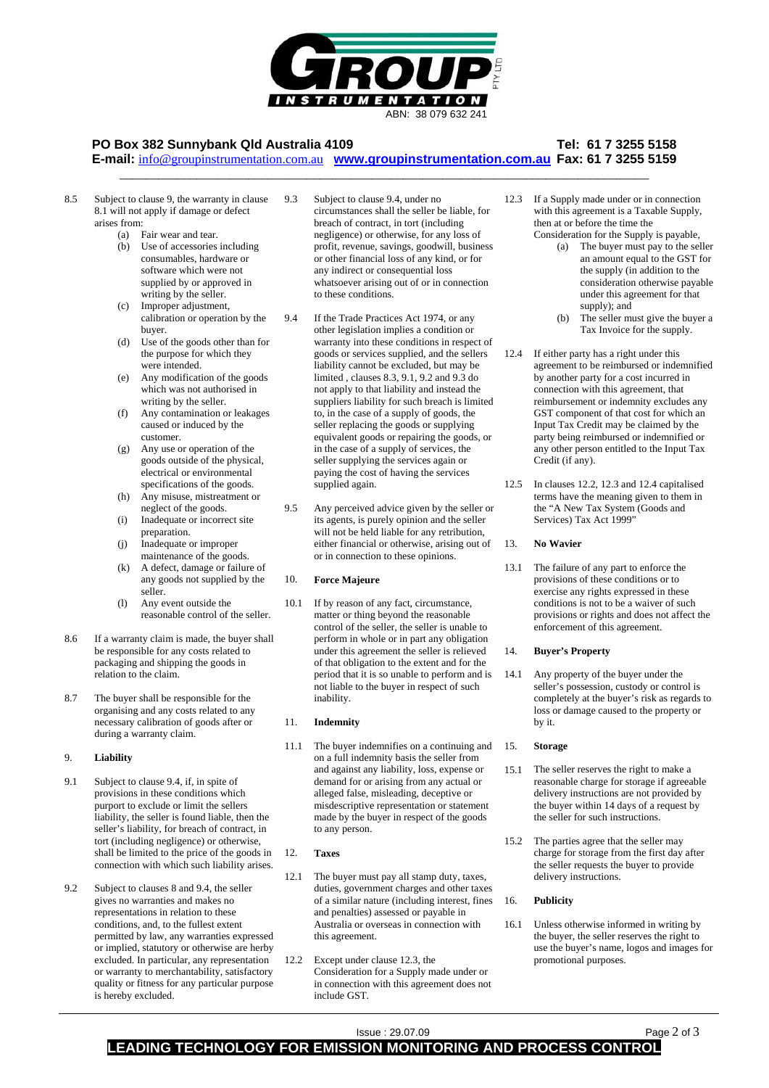

# **PO Box 382 Sunnybank Qld Australia 4109 Tel: 61 7 3255 5158**

**E-mail:** info@groupinstrumentation.com.au **www.groupinstrumentation.com.au Fax: 61 7 3255 5159** \_\_\_\_\_\_\_\_\_\_\_\_\_\_\_\_\_\_\_\_\_\_\_\_\_\_\_\_\_\_\_\_\_\_\_\_\_\_\_\_\_\_\_\_\_\_\_\_\_\_\_\_\_\_\_\_\_\_\_\_\_\_\_\_\_\_\_\_\_\_\_\_\_\_\_\_\_\_\_\_\_\_

- 8.5 Subject to clause 9, the warranty in clause 8.1 will not apply if damage or defect arises from: 9.3
	- (a) Fair wear and tear.<br>(b) Use of accessories
	- Use of accessories including consumables, hardware or software which were not supplied by or approved in writing by the seller.
	- (c) Improper adjustment, calibration or operation by the buyer.
	- (d) Use of the goods other than for the purpose for which they were intended.
	- (e) Any modification of the goods which was not authorised in writing by the seller.
	- Any contamination or leakages caused or induced by the customer.
	- (g) Any use or operation of the goods outside of the physical, electrical or environmental specifications of the goods.
	- (h) Any misuse, mistreatment or neglect of the goods.
	- (i) Inadequate or incorrect site preparation.
	- (j) Inadequate or improper maintenance of the goods.
	- (k) A defect, damage or failure of any goods not supplied by the seller.
	- (l) Any event outside the reasonable control of the seller.
- 8.6 If a warranty claim is made, the buyer shall be responsible for any costs related to packaging and shipping the goods in relation to the claim.
- 8.7 The buyer shall be responsible for the organising and any costs related to any necessary calibration of goods after or during a warranty claim.

#### 9. **Liability**

- 9.1 Subject to clause 9.4, if, in spite of provisions in these conditions which purport to exclude or limit the sellers liability, the seller is found liable, then the seller's liability, for breach of contract, in tort (including negligence) or otherwise, shall be limited to the price of the goods in connection with which such liability arises.
- $9.2$ Subject to clauses 8 and 9.4, the seller gives no warranties and makes no representations in relation to these conditions, and, to the fullest extent permitted by law, any warranties expressed or implied, statutory or otherwise are herby excluded. In particular, any representation or warranty to merchantability, satisfactory quality or fitness for any particular purpose is hereby excluded.
- Subject to clause 9.4, under no circumstances shall the seller be liable, for breach of contract, in tort (including negligence) or otherwise, for any loss of profit, revenue, savings, goodwill, business or other financial loss of any kind, or for any indirect or consequential loss whatsoever arising out of or in connection to these conditions.
- 9.4 If the Trade Practices Act 1974, or any other legislation implies a condition or warranty into these conditions in respect of goods or services supplied, and the sellers liability cannot be excluded, but may be limited , clauses 8.3, 9.1, 9.2 and 9.3 do not apply to that liability and instead the suppliers liability for such breach is limited to, in the case of a supply of goods, the seller replacing the goods or supplying equivalent goods or repairing the goods, or in the case of a supply of services, the seller supplying the services again or paying the cost of having the services supplied again.
- 9.5 Any perceived advice given by the seller or its agents, is purely opinion and the seller will not be held liable for any retribution, either financial or otherwise, arising out of or in connection to these opinions.

#### 10. **Force Majeure**

10.1 If by reason of any fact, circumstance, matter or thing beyond the reasonable control of the seller, the seller is unable to perform in whole or in part any obligation under this agreement the seller is relieved of that obligation to the extent and for the period that it is so unable to perform and is not liable to the buyer in respect of such inability.

#### 11. **Indemnity**

11.1 The buyer indemnifies on a continuing and on a full indemnity basis the seller from and against any liability, loss, expense or demand for or arising from any actual or alleged false, misleading, deceptive or misdescriptive representation or statement made by the buyer in respect of the goods to any person. 15.

#### 12. **Taxes**

- 12.1 The buyer must pay all stamp duty, taxes, duties, government charges and other taxes of a similar nature (including interest, fines and penalties) assessed or payable in Australia or overseas in connection with this agreement.
- $12.2<sub>2</sub>$ Except under clause 12.3, the Consideration for a Supply made under or in connection with this agreement does not include GST.
- 12.3 If a Supply made under or in connection with this agreement is a Taxable Supply. then at or before the time the Consideration for the Supply is payable,
	- (a) The buyer must pay to the seller an amount equal to the GST for the supply (in addition to the consideration otherwise payable under this agreement for that supply); and
	- (b) The seller must give the buyer a Tax Invoice for the supply.
- 12.4 If either party has a right under this agreement to be reimbursed or indemnified by another party for a cost incurred in connection with this agreement, that reimbursement or indemnity excludes any GST component of that cost for which an Input Tax Credit may be claimed by the party being reimbursed or indemnified or any other person entitled to the Input Tax Credit (if any).
- 12.5 In clauses 12.2, 12.3 and 12.4 capitalised terms have the meaning given to them in the "A New Tax System (Goods and Services) Tax Act 1999"

#### 13. **No Wavier**

13.1 The failure of any part to enforce the provisions of these conditions or to exercise any rights expressed in these conditions is not to be a waiver of such provisions or rights and does not affect the enforcement of this agreement.

#### 14. **Buyer's Property**

14.1 Any property of the buyer under the seller's possession, custody or control is completely at the buyer's risk as regards to loss or damage caused to the property or by it.

### **Storage**

- 15.1 The seller reserves the right to make a reasonable charge for storage if agreeable delivery instructions are not provided by the buyer within 14 days of a request by the seller for such instructions.
- 15.2 The parties agree that the seller may charge for storage from the first day after the seller requests the buyer to provide delivery instructions.

#### 16. **Publicity**

16.1 Unless otherwise informed in writing by the buyer, the seller reserves the right to use the buyer's name, logos and images for promotional purposes.

# Issue : 29.07.09 Page 2 of 3 **LEADING TECHNOLOGY FOR EMISSION MONITORING AND PROCESS CO**